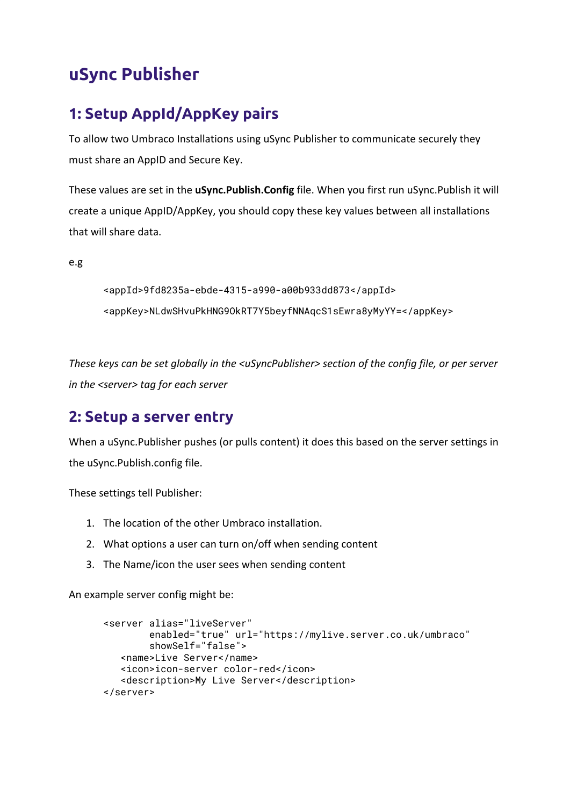# **uSync Publisher**

## **1: Setup AppId/AppKey pairs**

To allow two Umbraco Installations using uSync Publisher to communicate securely they must share an AppID and Secure Key.

These values are set in the **uSync.Publish.Config** file. When you first run uSync.Publish it will create a unique AppID/AppKey, you should copy these key values between all installations that will share data.

e.g

```
<appId>9fd8235a-ebde-4315-a990-a00b933dd873</appId>
<appKey>NLdwSHvuPkHNG9OkRT7Y5beyfNNAqcS1sEwra8yMyYY=</appKey>
```
*These keys can be set globally in the <uSyncPublisher> section of the config file, or per server in the <server> tag for each server*

### **2: Setup a server entry**

When a uSync.Publisher pushes (or pulls content) it does this based on the server settings in the uSync.Publish.config file.

These settings tell Publisher:

- 1. The location of the other Umbraco installation.
- 2. What options a user can turn on/off when sending content
- 3. The Name/icon the user sees when sending content

An example server config might be:

```
<server alias="liveServer"
        enabled="true" url="https://mylive.server.co.uk/umbraco"
        showSelf="false">
  <name>Live Server</name>
  <icon>icon-server color-red</icon>
  <description>My Live Server</description>
</server>
```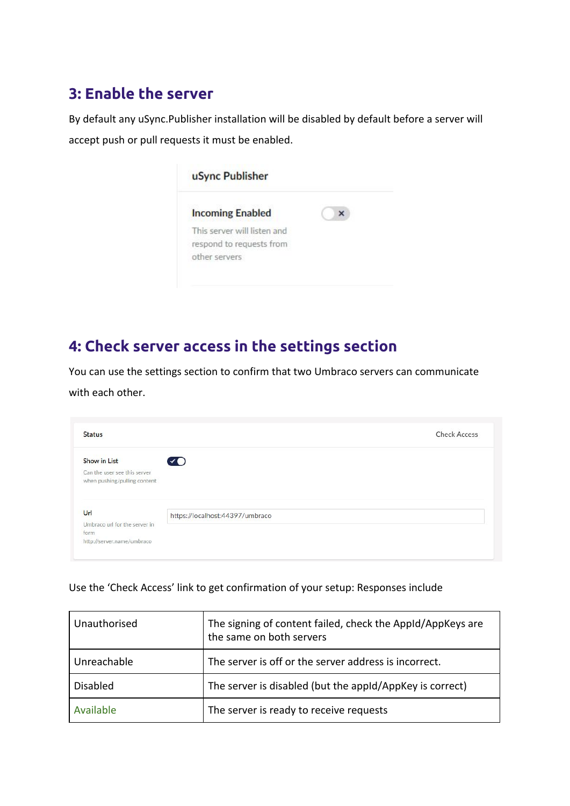### **3: Enable the server**

By default any uSync.Publisher installation will be disabled by default before a server will accept push or pull requests it must be enabled.

| <b>Incoming Enabled</b>     |  |
|-----------------------------|--|
| This server will listen and |  |
| respond to requests from    |  |
| other servers               |  |

## **4: Check server access in the settings section**

You can use the settings section to confirm that two Umbraco servers can communicate with each other.

| <b>Status</b>                 |                                 | <b>Check Access</b> |
|-------------------------------|---------------------------------|---------------------|
| Show in List                  | Ø                               |                     |
| Can the user see this server  |                                 |                     |
|                               |                                 |                     |
| when pushing/pulling content  |                                 |                     |
| Url                           |                                 |                     |
| Umbraco url for the server in | https://localhost:44397/umbraco |                     |
| form                          |                                 |                     |

Use the 'Check Access' link to get confirmation of your setup: Responses include

| Unauthorised    | The signing of content failed, check the AppId/AppKeys are<br>the same on both servers |
|-----------------|----------------------------------------------------------------------------------------|
| Unreachable     | The server is off or the server address is incorrect.                                  |
| <b>Disabled</b> | The server is disabled (but the appId/AppKey is correct)                               |
| Available       | The server is ready to receive requests                                                |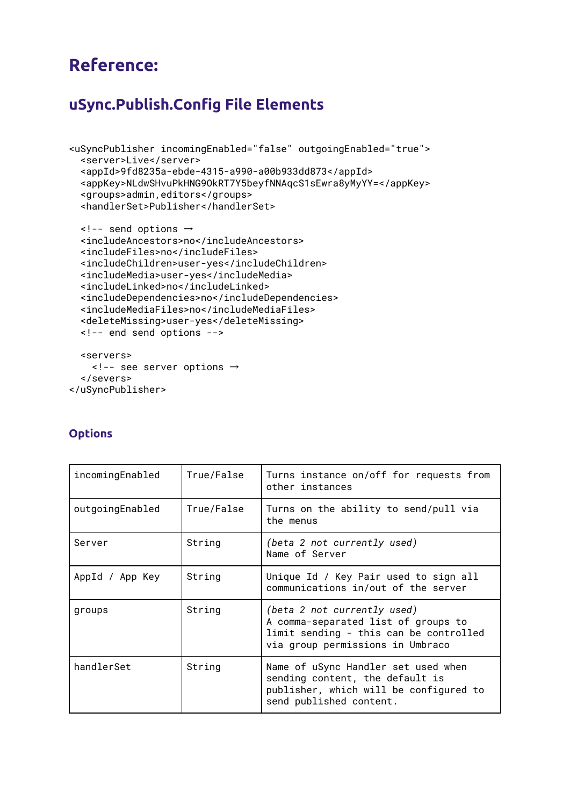# **Reference:**

### **uSync.Publish.Config File Elements**

```
<uSyncPublisher incomingEnabled="false" outgoingEnabled="true">
  <server>Live</server>
  <appId>9fd8235a-ebde-4315-a990-a00b933dd873</appId>
  <appKey>NLdwSHvuPkHNG9OkRT7Y5beyfNNAqcS1sEwra8yMyYY=</appKey>
  <groups>admin,editors</groups>
  <handlerSet>Publisher</handlerSet>
```

```
<!-- send options →
<includeAncestors>no</includeAncestors>
<includeFiles>no</includeFiles>
<includeChildren>user-yes</includeChildren>
<includeMedia>user-yes</includeMedia>
<includeLinked>no</includeLinked>
<includeDependencies>no</includeDependencies>
<includeMediaFiles>no</includeMediaFiles>
<deleteMissing>user-yes</deleteMissing>
<!-- end send options -->
<servers>
```

```
<!-- see server options →
 </severs>
</uSyncPublisher>
```

| incomingEnabled | True/False | Turns instance on/off for requests from<br>other instances                                                                                       |
|-----------------|------------|--------------------------------------------------------------------------------------------------------------------------------------------------|
| outgoingEnabled | True/False | Turns on the ability to send/pull via<br>the menus                                                                                               |
| Server          | String     | (beta 2 not currently used)<br>Name of Server                                                                                                    |
| AppId / App Key | String     | Unique Id / Key Pair used to sign all<br>communications in/out of the server                                                                     |
| groups          | String     | (beta 2 not currently used)<br>A comma-separated list of groups to<br>limit sending - this can be controlled<br>via group permissions in Umbraco |
| handlerSet      | String     | Name of uSync Handler set used when<br>sending content, the default is<br>publisher, which will be configured to<br>send published content.      |

#### **Options**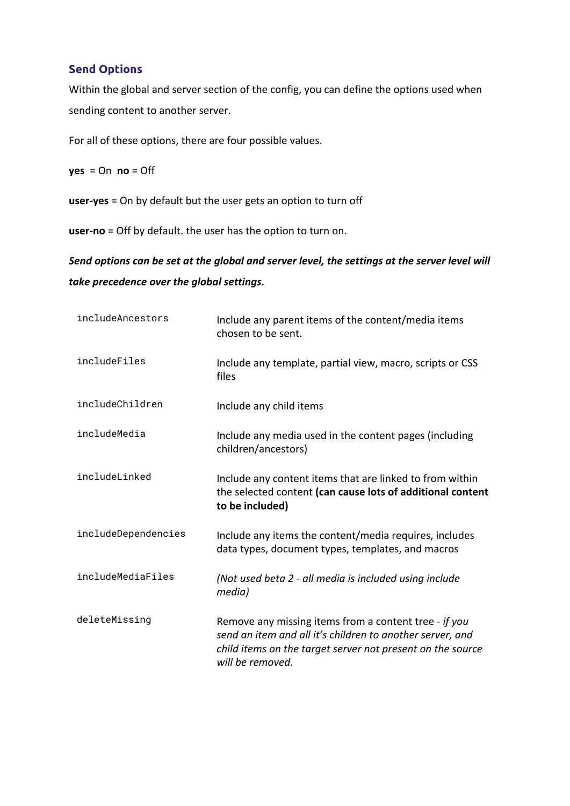#### **Send Options**

Within the global and server section of the config, you can define the options used when sending content to another server.

For all of these options, there are four possible values.

 $yes = On no = Off$ 

**user-yes** = On by default but the user gets an option to turn off

**user-no** = Off by default. the user has the option to turn on.

#### *Send options can be set at the global and server level, the settings at the server level will take precedence over the global settings.*

| includeAncestors    | Include any parent items of the content/media items<br>chosen to be sent.                                                                                                                            |
|---------------------|------------------------------------------------------------------------------------------------------------------------------------------------------------------------------------------------------|
| includeFiles        | Include any template, partial view, macro, scripts or CSS<br>files                                                                                                                                   |
| includeChildren     | Include any child items                                                                                                                                                                              |
| includeMedia        | Include any media used in the content pages (including<br>children/ancestors)                                                                                                                        |
| includeLinked       | Include any content items that are linked to from within<br>the selected content (can cause lots of additional content<br>to be included)                                                            |
| includeDependencies | Include any items the content/media requires, includes<br>data types, document types, templates, and macros                                                                                          |
| includeMediaFiles   | (Not used beta 2 - all media is included using include<br>media)                                                                                                                                     |
| deleteMissing       | Remove any missing items from a content tree - if you<br>send an item and all it's children to another server, and<br>child items on the target server not present on the source<br>will be removed. |